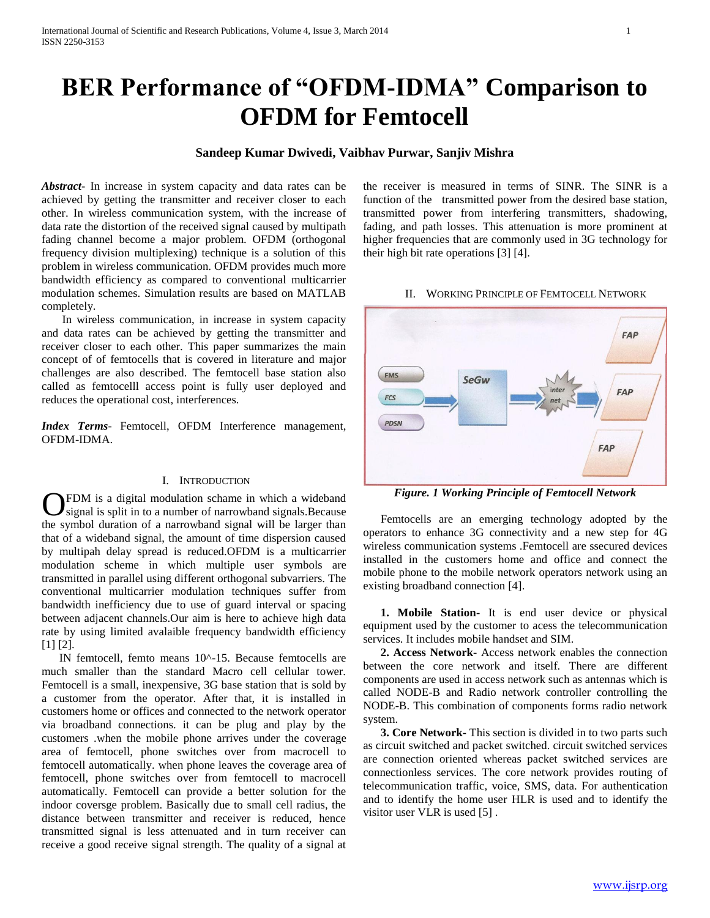# **BER Performance of "OFDM-IDMA" Comparison to OFDM for Femtocell**

# **Sandeep Kumar Dwivedi, Vaibhav Purwar, Sanjiv Mishra**

*Abstract***-** In increase in system capacity and data rates can be achieved by getting the transmitter and receiver closer to each other. In wireless communication system, with the increase of data rate the distortion of the received signal caused by multipath fading channel become a major problem. OFDM (orthogonal frequency division multiplexing) technique is a solution of this problem in wireless communication. OFDM provides much more bandwidth efficiency as compared to conventional multicarrier modulation schemes. Simulation results are based on MATLAB completely.

 In wireless communication, in increase in system capacity and data rates can be achieved by getting the transmitter and receiver closer to each other. This paper summarizes the main concept of of femtocells that is covered in literature and major challenges are also described. The femtocell base station also called as femtocelll access point is fully user deployed and reduces the operational cost, interferences.

*Index Terms*- Femtocell, OFDM Interference management, OFDM-IDMA.

## I. INTRODUCTION

FDM is a digital modulation schame in which a wideband signal is split in to a number of narrowband signals. Because **C**FDM is a digital modulation schame in which a wideband signal is split in to a number of narrowband signals. Because the symbol duration of a narrowband signal will be larger than that of a wideband signal, the amount of time dispersion caused by multipah delay spread is reduced.OFDM is a multicarrier modulation scheme in which multiple user symbols are transmitted in parallel using different orthogonal subvarriers. The conventional multicarrier modulation techniques suffer from bandwidth inefficiency due to use of guard interval or spacing between adjacent channels.Our aim is here to achieve high data rate by using limited avalaible frequency bandwidth efficiency [1] [2].

 IN femtocell, femto means 10^-15. Because femtocells are much smaller than the standard Macro cell cellular tower. Femtocell is a small, inexpensive, 3G base station that is sold by a customer from the operator. After that, it is installed in customers home or offices and connected to the network operator via broadband connections. it can be plug and play by the customers .when the mobile phone arrives under the coverage area of femtocell, phone switches over from macrocell to femtocell automatically. when phone leaves the coverage area of femtocell, phone switches over from femtocell to macrocell automatically. Femtocell can provide a better solution for the indoor coversge problem. Basically due to small cell radius, the distance between transmitter and receiver is reduced, hence transmitted signal is less attenuated and in turn receiver can receive a good receive signal strength. The quality of a signal at

the receiver is measured in terms of SINR. The SINR is a function of the transmitted power from the desired base station, transmitted power from interfering transmitters, shadowing, fading, and path losses. This attenuation is more prominent at higher frequencies that are commonly used in 3G technology for their high bit rate operations [3] [4].

#### II. WORKING PRINCIPLE OF FEMTOCELL NETWORK



*Figure. 1 Working Principle of Femtocell Network*

 Femtocells are an emerging technology adopted by the operators to enhance 3G connectivity and a new step for 4G wireless communication systems .Femtocell are ssecured devices installed in the customers home and office and connect the mobile phone to the mobile network operators network using an existing broadband connection [4].

 **1. Mobile Station-** It is end user device or physical equipment used by the customer to acess the telecommunication services. It includes mobile handset and SIM.

 **2. Access Network-** Access network enables the connection between the core network and itself. There are different components are used in access network such as antennas which is called NODE-B and Radio network controller controlling the NODE-B. This combination of components forms radio network system.

 **3. Core Network-** This section is divided in to two parts such as circuit switched and packet switched. circuit switched services are connection oriented whereas packet switched services are connectionless services. The core network provides routing of telecommunication traffic, voice, SMS, data. For authentication and to identify the home user HLR is used and to identify the visitor user VLR is used [5] .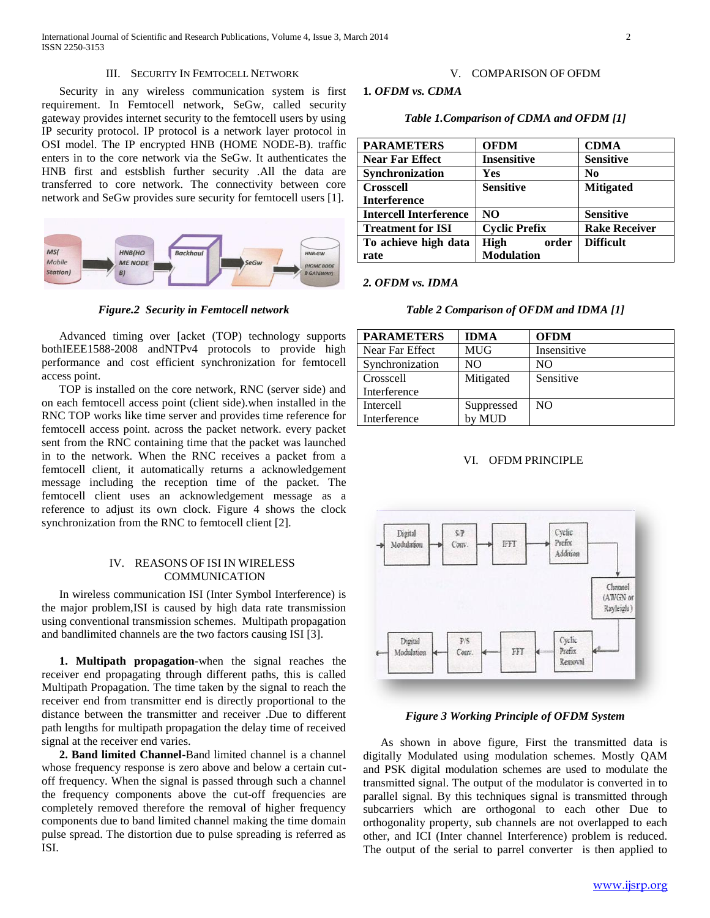## III. SECURITY IN FEMTOCELL NETWORK

 Security in any wireless communication system is first requirement. In Femtocell network, SeGw, called security gateway provides internet security to the femtocell users by using IP security protocol. IP protocol is a network layer protocol in OSI model. The IP encrypted HNB (HOME NODE-B). traffic enters in to the core network via the SeGw. It authenticates the HNB first and estsblish further security .All the data are transferred to core network. The connectivity between core network and SeGw provides sure security for femtocell users [1].



*Figure.2 Security in Femtocell network*

 Advanced timing over [acket (TOP) technology supports bothIEEE1588-2008 andNTPv4 protocols to provide high performance and cost efficient synchronization for femtocell access point.

 TOP is installed on the core network, RNC (server side) and on each femtocell access point (client side).when installed in the RNC TOP works like time server and provides time reference for femtocell access point. across the packet network. every packet sent from the RNC containing time that the packet was launched in to the network. When the RNC receives a packet from a femtocell client, it automatically returns a acknowledgement message including the reception time of the packet. The femtocell client uses an acknowledgement message as a reference to adjust its own clock. Figure 4 shows the clock synchronization from the RNC to femtocell client [2].

## IV. REASONS OF ISI IN WIRELESS COMMUNICATION

 In wireless communication ISI (Inter Symbol Interference) is the major problem,ISI is caused by high data rate transmission using conventional transmission schemes. Multipath propagation and bandlimited channels are the two factors causing ISI [3].

 **1. Multipath propagation-**when the signal reaches the receiver end propagating through different paths, this is called Multipath Propagation. The time taken by the signal to reach the receiver end from transmitter end is directly proportional to the distance between the transmitter and receiver .Due to different path lengths for multipath propagation the delay time of received signal at the receiver end varies.

 **2. Band limited Channel-**Band limited channel is a channel whose frequency response is zero above and below a certain cutoff frequency. When the signal is passed through such a channel the frequency components above the cut-off frequencies are completely removed therefore the removal of higher frequency components due to band limited channel making the time domain pulse spread. The distortion due to pulse spreading is referred as ISI.

# V. COMPARISON OF OFDM

## **1***. OFDM vs. CDMA*

*Table 1.Comparison of CDMA and OFDM [1]*

| <b>PARAMETERS</b>             | <b>OFDM</b>          | <b>CDMA</b>          |
|-------------------------------|----------------------|----------------------|
| <b>Near Far Effect</b>        | <b>Insensitive</b>   | <b>Sensitive</b>     |
| Synchronization               | Yes                  | N <sub>0</sub>       |
| <b>Crosscell</b>              | <b>Sensitive</b>     | <b>Mitigated</b>     |
| <b>Interference</b>           |                      |                      |
| <b>Intercell Interference</b> | NO.                  | <b>Sensitive</b>     |
| <b>Treatment for ISI</b>      | <b>Cyclic Prefix</b> | <b>Rake Receiver</b> |
| To achieve high data          | <b>High</b><br>order | <b>Difficult</b>     |
| rate                          | <b>Modulation</b>    |                      |

#### *2. OFDM vs. IDMA*

#### *Table 2 Comparison of OFDM and IDMA [1]*

| <b>PARAMETERS</b> | <b>IDMA</b> | <b>OFDM</b>    |
|-------------------|-------------|----------------|
| Near Far Effect   | <b>MUG</b>  | Insensitive    |
| Synchronization   | NΟ          | NΟ             |
| Crosscell         | Mitigated   | Sensitive      |
| Interference      |             |                |
| Intercell         | Suppressed  | N <sub>O</sub> |
| Interference      | by MUD      |                |

## VI. OFDM PRINCIPLE



### *Figure 3 Working Principle of OFDM System*

 As shown in above figure, First the transmitted data is digitally Modulated using modulation schemes. Mostly QAM and PSK digital modulation schemes are used to modulate the transmitted signal. The output of the modulator is converted in to parallel signal. By this techniques signal is transmitted through subcarriers which are orthogonal to each other Due to orthogonality property, sub channels are not overlapped to each other, and ICI (Inter channel Interference) problem is reduced. The output of the serial to parrel converter is then applied to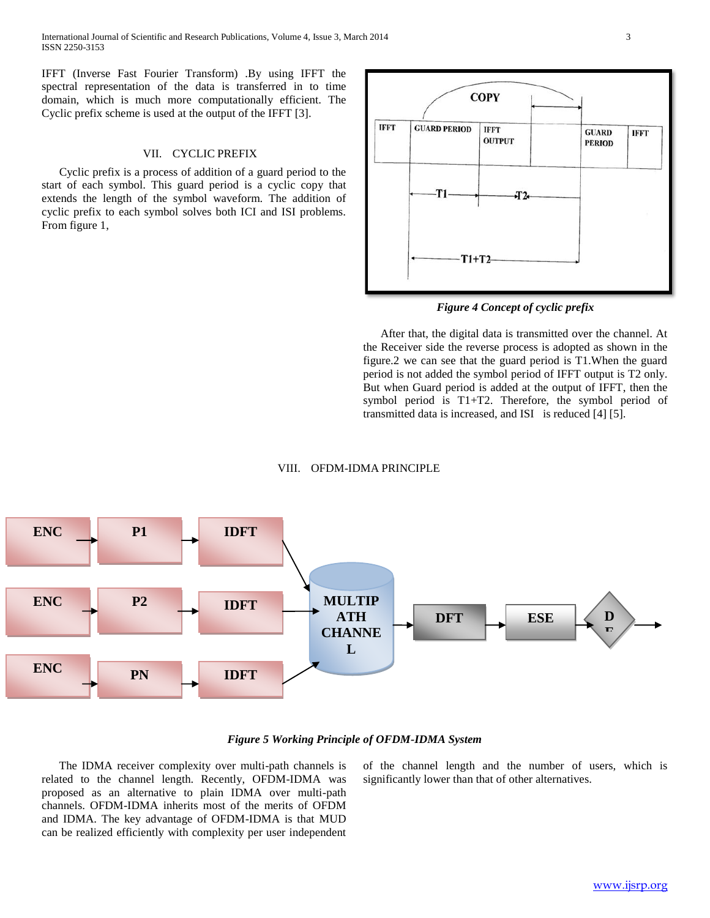IFFT (Inverse Fast Fourier Transform) .By using IFFT the spectral representation of the data is transferred in to time domain, which is much more computationally efficient. The Cyclic prefix scheme is used at the output of the IFFT [3].

# VII. CYCLIC PREFIX

 Cyclic prefix is a process of addition of a guard period to the start of each symbol. This guard period is a cyclic copy that extends the length of the symbol waveform. The addition of cyclic prefix to each symbol solves both ICI and ISI problems. From figure 1,



*Figure 4 Concept of cyclic prefix*

 After that, the digital data is transmitted over the channel. At the Receiver side the reverse process is adopted as shown in the figure.2 we can see that the guard period is T1.When the guard period is not added the symbol period of IFFT output is T2 only. But when Guard period is added at the output of IFFT, then the symbol period is T1+T2. Therefore, the symbol period of transmitted data is increased, and ISI is reduced [4] [5].

#### VIII. OFDM-IDMA PRINCIPLE



## *Figure 5 Working Principle of OFDM-IDMA System*

 The IDMA receiver complexity over multi-path channels is related to the channel length. Recently, OFDM-IDMA was proposed as an alternative to plain IDMA over multi-path channels. OFDM-IDMA inherits most of the merits of OFDM and IDMA. The key advantage of OFDM-IDMA is that MUD can be realized efficiently with complexity per user independent

of the channel length and the number of users, which is significantly lower than that of other alternatives.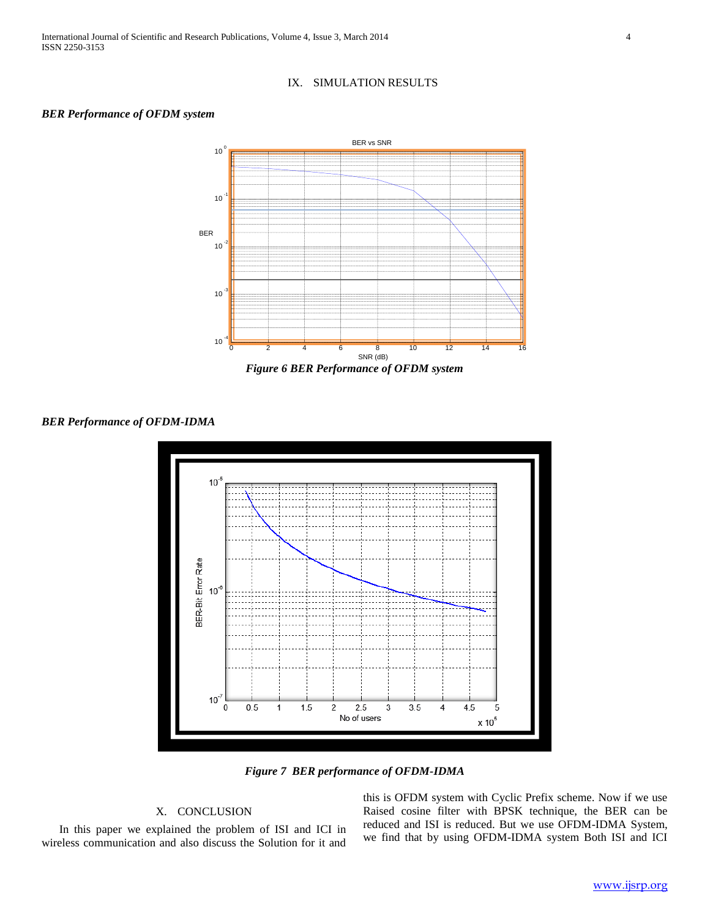

# *BER Performance of OFDM system*



*BER Performance of OFDM-IDMA*



*Figure 7 BER performance of OFDM-IDMA*

# X. CONCLUSION

 In this paper we explained the problem of ISI and ICI in wireless communication and also discuss the Solution for it and

this is OFDM system with Cyclic Prefix scheme. Now if we use Raised cosine filter with BPSK technique, the BER can be reduced and ISI is reduced. But we use OFDM-IDMA System, we find that by using OFDM-IDMA system Both ISI and ICI